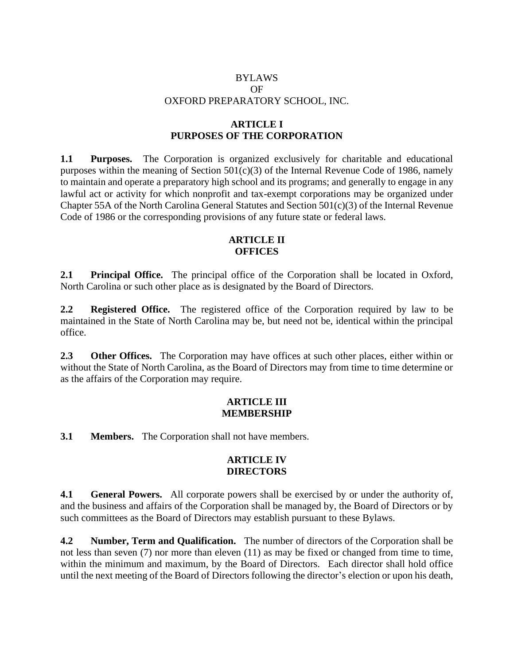# BYLAWS OF OXFORD PREPARATORY SCHOOL, INC.

### **ARTICLE I PURPOSES OF THE CORPORATION**

**1.1 Purposes.** The Corporation is organized exclusively for charitable and educational purposes within the meaning of Section  $501(c)(3)$  of the Internal Revenue Code of 1986, namely to maintain and operate a preparatory high school and its programs; and generally to engage in any lawful act or activity for which nonprofit and tax-exempt corporations may be organized under Chapter 55A of the North Carolina General Statutes and Section 501(c)(3) of the Internal Revenue Code of 1986 or the corresponding provisions of any future state or federal laws.

# **ARTICLE II OFFICES**

**2.1 Principal Office.** The principal office of the Corporation shall be located in Oxford, North Carolina or such other place as is designated by the Board of Directors.

**2.2 Registered Office.** The registered office of the Corporation required by law to be maintained in the State of North Carolina may be, but need not be, identical within the principal office.

2.3 Other Offices. The Corporation may have offices at such other places, either within or without the State of North Carolina, as the Board of Directors may from time to time determine or as the affairs of the Corporation may require.

### **ARTICLE III MEMBERSHIP**

**3.1 Members.** The Corporation shall not have members.

# **ARTICLE IV DIRECTORS**

**4.1 General Powers.** All corporate powers shall be exercised by or under the authority of, and the business and affairs of the Corporation shall be managed by, the Board of Directors or by such committees as the Board of Directors may establish pursuant to these Bylaws.

**4.2 Number, Term and Qualification.** The number of directors of the Corporation shall be not less than seven (7) nor more than eleven (11) as may be fixed or changed from time to time, within the minimum and maximum, by the Board of Directors. Each director shall hold office until the next meeting of the Board of Directors following the director's election or upon his death,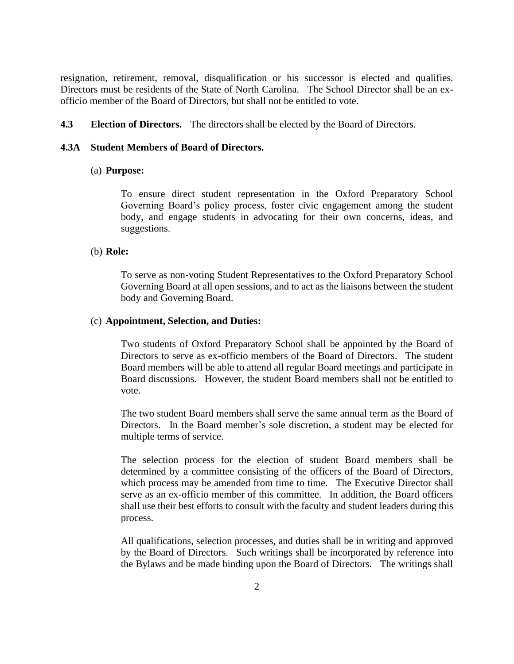resignation, retirement, removal, disqualification or his successor is elected and qualifies. Directors must be residents of the State of North Carolina. The School Director shall be an exofficio member of the Board of Directors, but shall not be entitled to vote.

**4.3 Election of Directors.** The directors shall be elected by the Board of Directors.

### **4.3A Student Members of Board of Directors.**

#### (a) **Purpose:**

To ensure direct student representation in the Oxford Preparatory School Governing Board's policy process, foster civic engagement among the student body, and engage students in advocating for their own concerns, ideas, and suggestions.

#### (b) **Role:**

To serve as non-voting Student Representatives to the Oxford Preparatory School Governing Board at all open sessions, and to act as the liaisons between the student body and Governing Board.

#### (c) **Appointment, Selection, and Duties:**

Two students of Oxford Preparatory School shall be appointed by the Board of Directors to serve as ex-officio members of the Board of Directors. The student Board members will be able to attend all regular Board meetings and participate in Board discussions. However, the student Board members shall not be entitled to vote.

The two student Board members shall serve the same annual term as the Board of Directors.In the Board member's sole discretion, a student may be elected for multiple terms of service.

The selection process for the election of student Board members shall be determined by a committee consisting of the officers of the Board of Directors, which process may be amended from time to time. The Executive Director shall serve as an ex-officio member of this committee. In addition, the Board officers shall use their best efforts to consult with the faculty and student leaders during this process.

All qualifications, selection processes, and duties shall be in writing and approved by the Board of Directors. Such writings shall be incorporated by reference into the Bylaws and be made binding upon the Board of Directors. The writings shall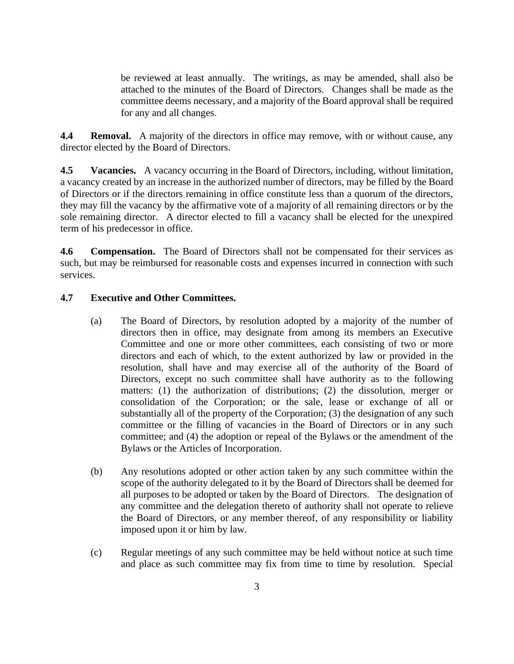be reviewed at least annually. The writings, as may be amended, shall also be attached to the minutes of the Board of Directors. Changes shall be made as the committee deems necessary, and a majority of the Board approval shall be required for any and all changes.

**4.4 Removal.** A majority of the directors in office may remove, with or without cause, any director elected by the Board of Directors.

**4.5 Vacancies.** A vacancy occurring in the Board of Directors, including, without limitation, a vacancy created by an increase in the authorized number of directors, may be filled by the Board of Directors or if the directors remaining in office constitute less than a quorum of the directors, they may fill the vacancy by the affirmative vote of a majority of all remaining directors or by the sole remaining director. A director elected to fill a vacancy shall be elected for the unexpired term of his predecessor in office.

**4.6 Compensation.** The Board of Directors shall not be compensated for their services as such, but may be reimbursed for reasonable costs and expenses incurred in connection with such services.

# **4.7 Executive and Other Committees.**

- (a) The Board of Directors, by resolution adopted by a majority of the number of directors then in office, may designate from among its members an Executive Committee and one or more other committees, each consisting of two or more directors and each of which, to the extent authorized by law or provided in the resolution, shall have and may exercise all of the authority of the Board of Directors, except no such committee shall have authority as to the following matters: (1) the authorization of distributions; (2) the dissolution, merger or consolidation of the Corporation; or the sale, lease or exchange of all or substantially all of the property of the Corporation; (3) the designation of any such committee or the filling of vacancies in the Board of Directors or in any such committee; and (4) the adoption or repeal of the Bylaws or the amendment of the Bylaws or the Articles of Incorporation.
- (b) Any resolutions adopted or other action taken by any such committee within the scope of the authority delegated to it by the Board of Directors shall be deemed for all purposes to be adopted or taken by the Board of Directors. The designation of any committee and the delegation thereto of authority shall not operate to relieve the Board of Directors, or any member thereof, of any responsibility or liability imposed upon it or him by law.
- (c) Regular meetings of any such committee may be held without notice at such time and place as such committee may fix from time to time by resolution. Special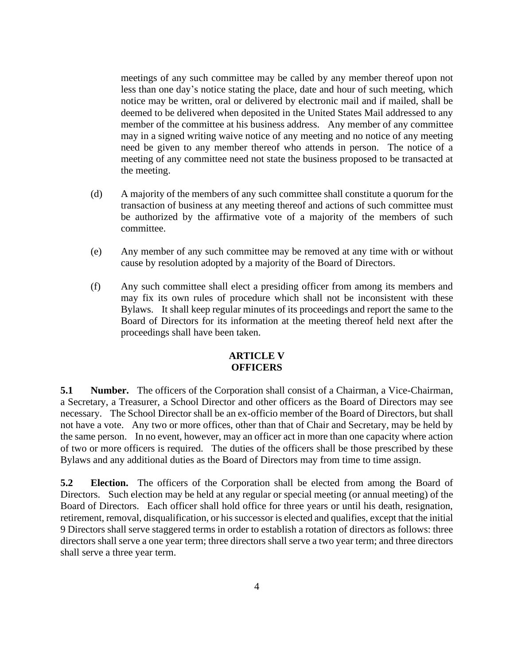meetings of any such committee may be called by any member thereof upon not less than one day's notice stating the place, date and hour of such meeting, which notice may be written, oral or delivered by electronic mail and if mailed, shall be deemed to be delivered when deposited in the United States Mail addressed to any member of the committee at his business address. Any member of any committee may in a signed writing waive notice of any meeting and no notice of any meeting need be given to any member thereof who attends in person. The notice of a meeting of any committee need not state the business proposed to be transacted at the meeting.

- (d) A majority of the members of any such committee shall constitute a quorum for the transaction of business at any meeting thereof and actions of such committee must be authorized by the affirmative vote of a majority of the members of such committee.
- (e) Any member of any such committee may be removed at any time with or without cause by resolution adopted by a majority of the Board of Directors.
- (f) Any such committee shall elect a presiding officer from among its members and may fix its own rules of procedure which shall not be inconsistent with these Bylaws. It shall keep regular minutes of its proceedings and report the same to the Board of Directors for its information at the meeting thereof held next after the proceedings shall have been taken.

### **ARTICLE V OFFICERS**

**5.1 Number.** The officers of the Corporation shall consist of a Chairman, a Vice-Chairman, a Secretary, a Treasurer, a School Director and other officers as the Board of Directors may see necessary. The School Director shall be an ex-officio member of the Board of Directors, but shall not have a vote. Any two or more offices, other than that of Chair and Secretary, may be held by the same person. In no event, however, may an officer act in more than one capacity where action of two or more officers is required. The duties of the officers shall be those prescribed by these Bylaws and any additional duties as the Board of Directors may from time to time assign.

**5.2 Election.** The officers of the Corporation shall be elected from among the Board of Directors. Such election may be held at any regular or special meeting (or annual meeting) of the Board of Directors. Each officer shall hold office for three years or until his death, resignation, retirement, removal, disqualification, or his successor is elected and qualifies, except that the initial 9 Directors shall serve staggered terms in order to establish a rotation of directors as follows: three directors shall serve a one year term; three directors shall serve a two year term; and three directors shall serve a three year term.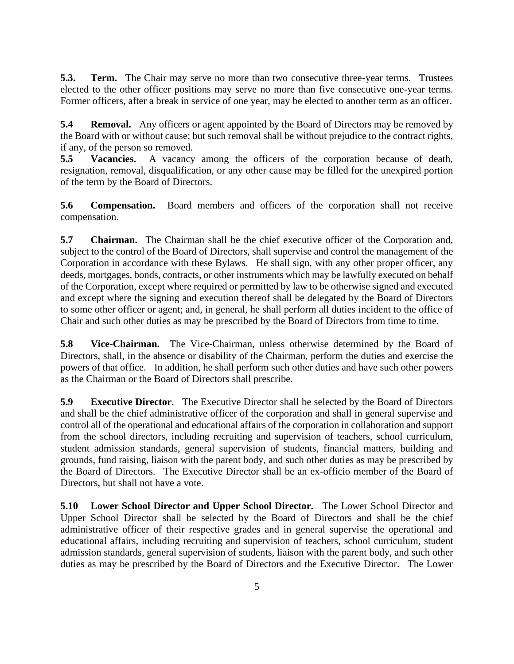**5.3. Term.** The Chair may serve no more than two consecutive three-year terms. Trustees elected to the other officer positions may serve no more than five consecutive one-year terms. Former officers, after a break in service of one year, may be elected to another term as an officer.

**5.4 • Removal.** Any officers or agent appointed by the Board of Directors may be removed by the Board with or without cause; but such removal shall be without prejudice to the contract rights, if any, of the person so removed.

**5.5 Vacancies.** A vacancy among the officers of the corporation because of death, resignation, removal, disqualification, or any other cause may be filled for the unexpired portion of the term by the Board of Directors.

**5.6 Compensation.** Board members and officers of the corporation shall not receive compensation.

**5.7 Chairman.** The Chairman shall be the chief executive officer of the Corporation and, subject to the control of the Board of Directors, shall supervise and control the management of the Corporation in accordance with these Bylaws. He shall sign, with any other proper officer, any deeds, mortgages, bonds, contracts, or other instruments which may be lawfully executed on behalf of the Corporation, except where required or permitted by law to be otherwise signed and executed and except where the signing and execution thereof shall be delegated by the Board of Directors to some other officer or agent; and, in general, he shall perform all duties incident to the office of Chair and such other duties as may be prescribed by the Board of Directors from time to time.

**5.8 Vice-Chairman.** The Vice-Chairman, unless otherwise determined by the Board of Directors, shall, in the absence or disability of the Chairman, perform the duties and exercise the powers of that office. In addition, he shall perform such other duties and have such other powers as the Chairman or the Board of Directors shall prescribe.

**5.9 Executive Director**. The Executive Director shall be selected by the Board of Directors and shall be the chief administrative officer of the corporation and shall in general supervise and control all of the operational and educational affairs of the corporation in collaboration and support from the school directors, including recruiting and supervision of teachers, school curriculum, student admission standards, general supervision of students, financial matters, building and grounds, fund raising, liaison with the parent body, and such other duties as may be prescribed by the Board of Directors. The Executive Director shall be an ex-officio member of the Board of Directors, but shall not have a vote.

**5.10 Lower School Director and Upper School Director.** The Lower School Director and Upper School Director shall be selected by the Board of Directors and shall be the chief administrative officer of their respective grades and in general supervise the operational and educational affairs, including recruiting and supervision of teachers, school curriculum, student admission standards, general supervision of students, liaison with the parent body, and such other duties as may be prescribed by the Board of Directors and the Executive Director. The Lower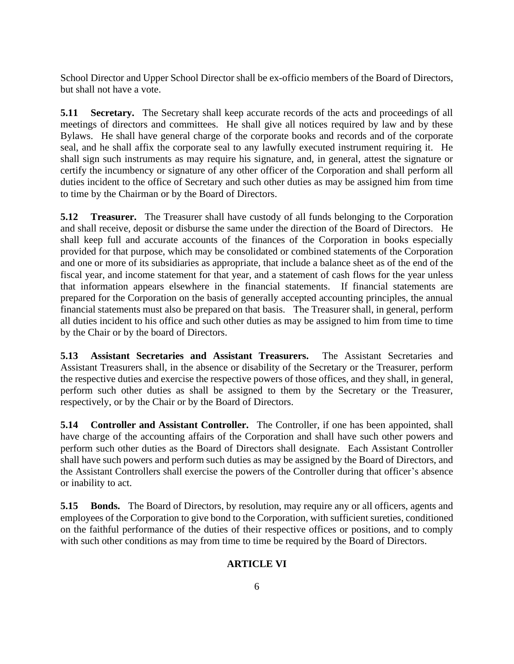School Director and Upper School Director shall be ex-officio members of the Board of Directors, but shall not have a vote.

**5.11 Secretary.** The Secretary shall keep accurate records of the acts and proceedings of all meetings of directors and committees. He shall give all notices required by law and by these Bylaws. He shall have general charge of the corporate books and records and of the corporate seal, and he shall affix the corporate seal to any lawfully executed instrument requiring it. He shall sign such instruments as may require his signature, and, in general, attest the signature or certify the incumbency or signature of any other officer of the Corporation and shall perform all duties incident to the office of Secretary and such other duties as may be assigned him from time to time by the Chairman or by the Board of Directors.

**5.12 Treasurer.** The Treasurer shall have custody of all funds belonging to the Corporation and shall receive, deposit or disburse the same under the direction of the Board of Directors. He shall keep full and accurate accounts of the finances of the Corporation in books especially provided for that purpose, which may be consolidated or combined statements of the Corporation and one or more of its subsidiaries as appropriate, that include a balance sheet as of the end of the fiscal year, and income statement for that year, and a statement of cash flows for the year unless that information appears elsewhere in the financial statements. If financial statements are prepared for the Corporation on the basis of generally accepted accounting principles, the annual financial statements must also be prepared on that basis. The Treasurer shall, in general, perform all duties incident to his office and such other duties as may be assigned to him from time to time by the Chair or by the board of Directors.

**5.13 Assistant Secretaries and Assistant Treasurers.** The Assistant Secretaries and Assistant Treasurers shall, in the absence or disability of the Secretary or the Treasurer, perform the respective duties and exercise the respective powers of those offices, and they shall, in general, perform such other duties as shall be assigned to them by the Secretary or the Treasurer, respectively, or by the Chair or by the Board of Directors.

**5.14 Controller and Assistant Controller.** The Controller, if one has been appointed, shall have charge of the accounting affairs of the Corporation and shall have such other powers and perform such other duties as the Board of Directors shall designate. Each Assistant Controller shall have such powers and perform such duties as may be assigned by the Board of Directors, and the Assistant Controllers shall exercise the powers of the Controller during that officer's absence or inability to act.

**5.15 Bonds.** The Board of Directors, by resolution, may require any or all officers, agents and employees of the Corporation to give bond to the Corporation, with sufficient sureties, conditioned on the faithful performance of the duties of their respective offices or positions, and to comply with such other conditions as may from time to time be required by the Board of Directors.

# **ARTICLE VI**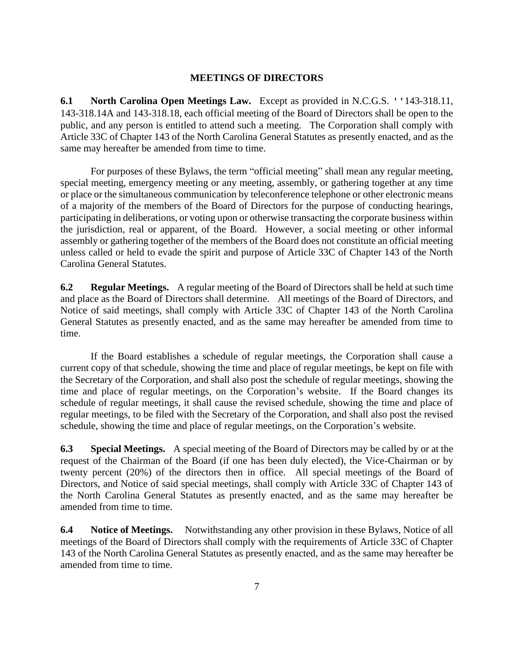#### **MEETINGS OF DIRECTORS**

**6.1 North Carolina Open Meetings Law.** Except as provided in N.C.G.S. ''143-318.11, 143-318.14A and 143-318.18, each official meeting of the Board of Directors shall be open to the public, and any person is entitled to attend such a meeting. The Corporation shall comply with Article 33C of Chapter 143 of the North Carolina General Statutes as presently enacted, and as the same may hereafter be amended from time to time.

For purposes of these Bylaws, the term "official meeting" shall mean any regular meeting, special meeting, emergency meeting or any meeting, assembly, or gathering together at any time or place or the simultaneous communication by teleconference telephone or other electronic means of a majority of the members of the Board of Directors for the purpose of conducting hearings, participating in deliberations, or voting upon or otherwise transacting the corporate business within the jurisdiction, real or apparent, of the Board. However, a social meeting or other informal assembly or gathering together of the members of the Board does not constitute an official meeting unless called or held to evade the spirit and purpose of Article 33C of Chapter 143 of the North Carolina General Statutes.

**6.2 Regular Meetings.** A regular meeting of the Board of Directors shall be held at such time and place as the Board of Directors shall determine. All meetings of the Board of Directors, and Notice of said meetings, shall comply with Article 33C of Chapter 143 of the North Carolina General Statutes as presently enacted, and as the same may hereafter be amended from time to time.

If the Board establishes a schedule of regular meetings, the Corporation shall cause a current copy of that schedule, showing the time and place of regular meetings, be kept on file with the Secretary of the Corporation, and shall also post the schedule of regular meetings, showing the time and place of regular meetings, on the Corporation's website. If the Board changes its schedule of regular meetings, it shall cause the revised schedule, showing the time and place of regular meetings, to be filed with the Secretary of the Corporation, and shall also post the revised schedule, showing the time and place of regular meetings, on the Corporation's website.

**6.3** Special Meetings. A special meeting of the Board of Directors may be called by or at the request of the Chairman of the Board (if one has been duly elected), the Vice-Chairman or by twenty percent (20%) of the directors then in office. All special meetings of the Board of Directors, and Notice of said special meetings, shall comply with Article 33C of Chapter 143 of the North Carolina General Statutes as presently enacted, and as the same may hereafter be amended from time to time.

**6.4 Notice of Meetings.** Notwithstanding any other provision in these Bylaws, Notice of all meetings of the Board of Directors shall comply with the requirements of Article 33C of Chapter 143 of the North Carolina General Statutes as presently enacted, and as the same may hereafter be amended from time to time.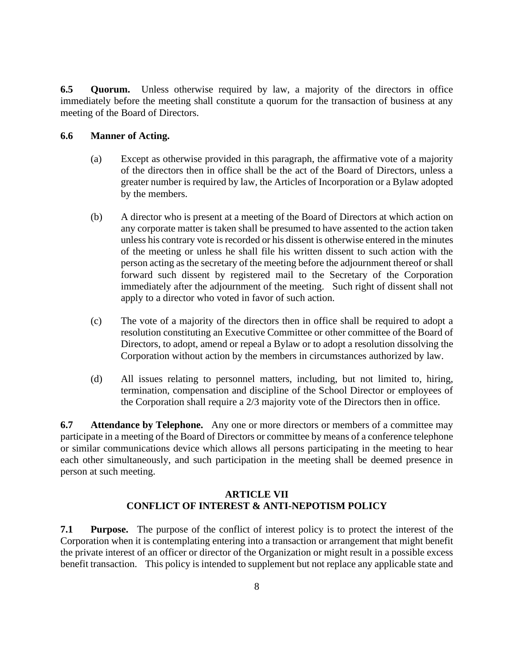**6.5 Quorum.** Unless otherwise required by law, a majority of the directors in office immediately before the meeting shall constitute a quorum for the transaction of business at any meeting of the Board of Directors.

### **6.6 Manner of Acting.**

- (a) Except as otherwise provided in this paragraph, the affirmative vote of a majority of the directors then in office shall be the act of the Board of Directors, unless a greater number is required by law, the Articles of Incorporation or a Bylaw adopted by the members.
- (b) A director who is present at a meeting of the Board of Directors at which action on any corporate matter is taken shall be presumed to have assented to the action taken unless his contrary vote is recorded or his dissent is otherwise entered in the minutes of the meeting or unless he shall file his written dissent to such action with the person acting as the secretary of the meeting before the adjournment thereof or shall forward such dissent by registered mail to the Secretary of the Corporation immediately after the adjournment of the meeting. Such right of dissent shall not apply to a director who voted in favor of such action.
- (c) The vote of a majority of the directors then in office shall be required to adopt a resolution constituting an Executive Committee or other committee of the Board of Directors, to adopt, amend or repeal a Bylaw or to adopt a resolution dissolving the Corporation without action by the members in circumstances authorized by law.
- (d) All issues relating to personnel matters, including, but not limited to, hiring, termination, compensation and discipline of the School Director or employees of the Corporation shall require a 2/3 majority vote of the Directors then in office.

**6.7** Attendance by Telephone. Any one or more directors or members of a committee may participate in a meeting of the Board of Directors or committee by means of a conference telephone or similar communications device which allows all persons participating in the meeting to hear each other simultaneously, and such participation in the meeting shall be deemed presence in person at such meeting.

# **ARTICLE VII CONFLICT OF INTEREST & ANTI-NEPOTISM POLICY**

**7.1 Purpose.** The purpose of the conflict of interest policy is to protect the interest of the Corporation when it is contemplating entering into a transaction or arrangement that might benefit the private interest of an officer or director of the Organization or might result in a possible excess benefit transaction. This policy is intended to supplement but not replace any applicable state and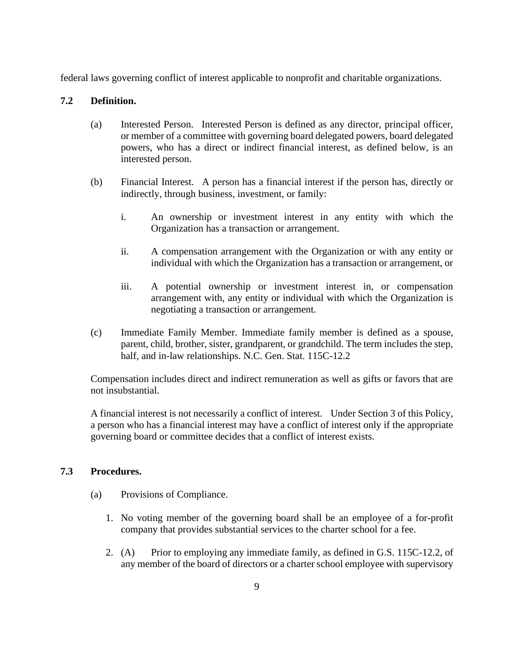federal laws governing conflict of interest applicable to nonprofit and charitable organizations.

### **7.2 Definition.**

- (a) Interested Person. Interested Person is defined as any director, principal officer, or member of a committee with governing board delegated powers, board delegated powers, who has a direct or indirect financial interest, as defined below, is an interested person.
- (b) Financial Interest. A person has a financial interest if the person has, directly or indirectly, through business, investment, or family:
	- i. An ownership or investment interest in any entity with which the Organization has a transaction or arrangement.
	- ii. A compensation arrangement with the Organization or with any entity or individual with which the Organization has a transaction or arrangement, or
	- iii. A potential ownership or investment interest in, or compensation arrangement with, any entity or individual with which the Organization is negotiating a transaction or arrangement.
- (c) Immediate Family Member. Immediate family member is defined as a spouse, parent, child, brother, sister, grandparent, or grandchild. The term includes the step, half, and in-law relationships. N.C. Gen. Stat. 115C-12.2

 Compensation includes direct and indirect remuneration as well as gifts or favors that are not insubstantial.

 A financial interest is not necessarily a conflict of interest. Under Section 3 of this Policy, a person who has a financial interest may have a conflict of interest only if the appropriate governing board or committee decides that a conflict of interest exists.

### **7.3 Procedures.**

- (a) Provisions of Compliance.
	- 1. No voting member of the governing board shall be an employee of a for-profit company that provides substantial services to the charter school for a fee.
	- 2. (A) Prior to employing any immediate family, as defined in G.S. 115C-12.2, of any member of the board of directors or a charter school employee with supervisory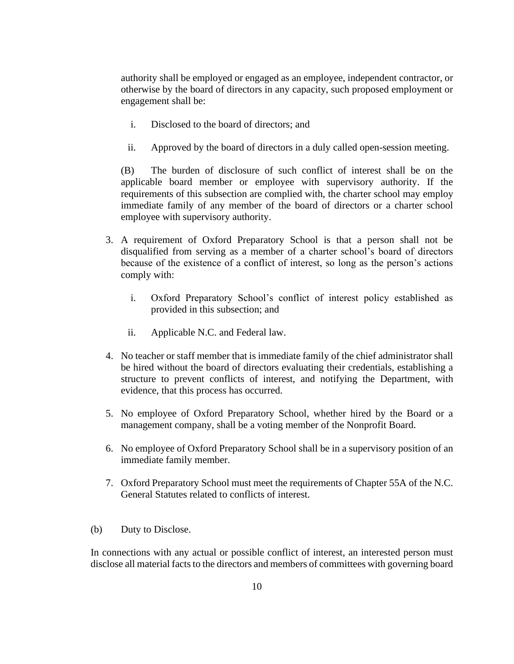authority shall be employed or engaged as an employee, independent contractor, or otherwise by the board of directors in any capacity, such proposed employment or engagement shall be:

- i. Disclosed to the board of directors; and
- ii. Approved by the board of directors in a duly called open-session meeting.

(B) The burden of disclosure of such conflict of interest shall be on the applicable board member or employee with supervisory authority. If the requirements of this subsection are complied with, the charter school may employ immediate family of any member of the board of directors or a charter school employee with supervisory authority.

- 3. A requirement of Oxford Preparatory School is that a person shall not be disqualified from serving as a member of a charter school's board of directors because of the existence of a conflict of interest, so long as the person's actions comply with:
	- i. Oxford Preparatory School's conflict of interest policy established as provided in this subsection; and
	- ii. Applicable N.C. and Federal law.
- 4. No teacher or staff member that is immediate family of the chief administrator shall be hired without the board of directors evaluating their credentials, establishing a structure to prevent conflicts of interest, and notifying the Department, with evidence, that this process has occurred.
- 5. No employee of Oxford Preparatory School, whether hired by the Board or a management company, shall be a voting member of the Nonprofit Board.
- 6. No employee of Oxford Preparatory School shall be in a supervisory position of an immediate family member.
- 7. Oxford Preparatory School must meet the requirements of Chapter 55A of the N.C. General Statutes related to conflicts of interest.
- (b) Duty to Disclose.

 In connections with any actual or possible conflict of interest, an interested person must disclose all material facts to the directors and members of committees with governing board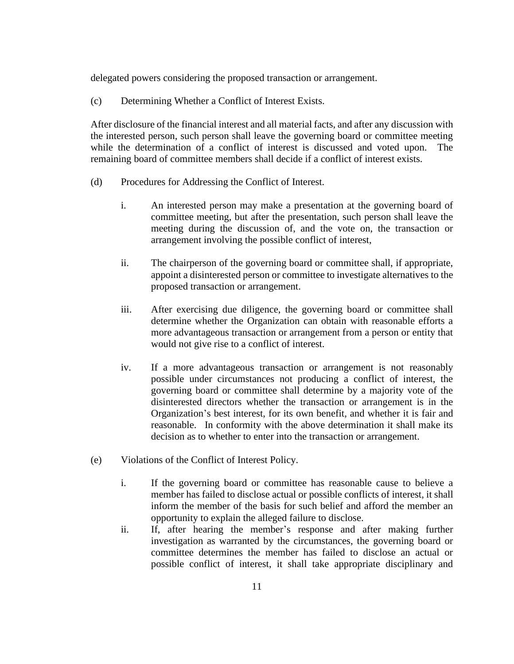delegated powers considering the proposed transaction or arrangement.

(c) Determining Whether a Conflict of Interest Exists.

 After disclosure of the financial interest and all material facts, and after any discussion with the interested person, such person shall leave the governing board or committee meeting while the determination of a conflict of interest is discussed and voted upon. The remaining board of committee members shall decide if a conflict of interest exists.

- (d) Procedures for Addressing the Conflict of Interest.
	- i. An interested person may make a presentation at the governing board of committee meeting, but after the presentation, such person shall leave the meeting during the discussion of, and the vote on, the transaction or arrangement involving the possible conflict of interest,
	- ii. The chairperson of the governing board or committee shall, if appropriate, appoint a disinterested person or committee to investigate alternatives to the proposed transaction or arrangement.
	- iii. After exercising due diligence, the governing board or committee shall determine whether the Organization can obtain with reasonable efforts a more advantageous transaction or arrangement from a person or entity that would not give rise to a conflict of interest.
	- iv. If a more advantageous transaction or arrangement is not reasonably possible under circumstances not producing a conflict of interest, the governing board or committee shall determine by a majority vote of the disinterested directors whether the transaction or arrangement is in the Organization's best interest, for its own benefit, and whether it is fair and reasonable. In conformity with the above determination it shall make its decision as to whether to enter into the transaction or arrangement.
- (e) Violations of the Conflict of Interest Policy.
	- i. If the governing board or committee has reasonable cause to believe a member has failed to disclose actual or possible conflicts of interest, it shall inform the member of the basis for such belief and afford the member an opportunity to explain the alleged failure to disclose.
	- ii. If, after hearing the member's response and after making further investigation as warranted by the circumstances, the governing board or committee determines the member has failed to disclose an actual or possible conflict of interest, it shall take appropriate disciplinary and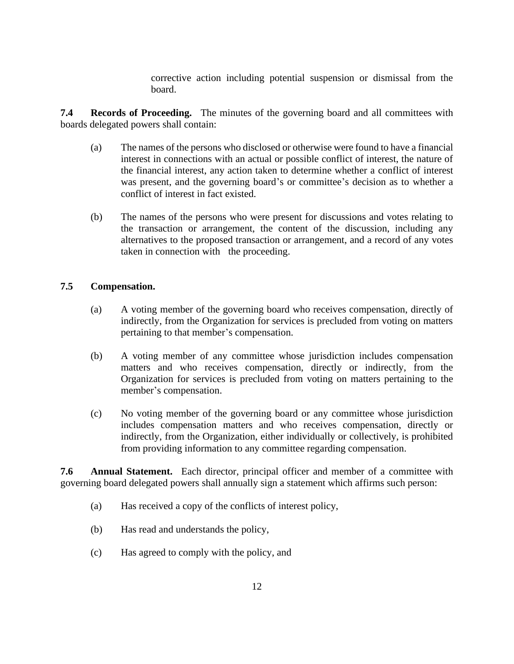corrective action including potential suspension or dismissal from the board.

**7.4 Records of Proceeding.** The minutes of the governing board and all committees with boards delegated powers shall contain:

- (a) The names of the persons who disclosed or otherwise were found to have a financial interest in connections with an actual or possible conflict of interest, the nature of the financial interest, any action taken to determine whether a conflict of interest was present, and the governing board's or committee's decision as to whether a conflict of interest in fact existed.
- (b) The names of the persons who were present for discussions and votes relating to the transaction or arrangement, the content of the discussion, including any alternatives to the proposed transaction or arrangement, and a record of any votes taken in connection with the proceeding.

### **7.5 Compensation.**

- (a) A voting member of the governing board who receives compensation, directly of indirectly, from the Organization for services is precluded from voting on matters pertaining to that member's compensation.
- (b) A voting member of any committee whose jurisdiction includes compensation matters and who receives compensation, directly or indirectly, from the Organization for services is precluded from voting on matters pertaining to the member's compensation.
- (c) No voting member of the governing board or any committee whose jurisdiction includes compensation matters and who receives compensation, directly or indirectly, from the Organization, either individually or collectively, is prohibited from providing information to any committee regarding compensation.

**7.6 Annual Statement.** Each director, principal officer and member of a committee with governing board delegated powers shall annually sign a statement which affirms such person:

- (a) Has received a copy of the conflicts of interest policy,
- (b) Has read and understands the policy,
- (c) Has agreed to comply with the policy, and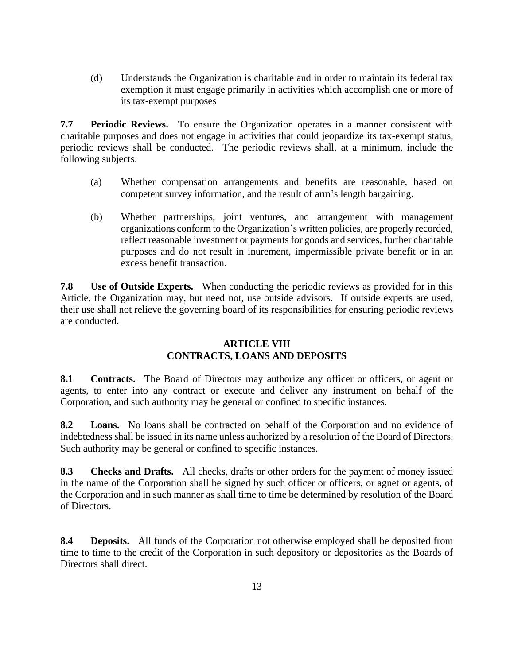(d) Understands the Organization is charitable and in order to maintain its federal tax exemption it must engage primarily in activities which accomplish one or more of its tax-exempt purposes

**7.7 Periodic Reviews.** To ensure the Organization operates in a manner consistent with charitable purposes and does not engage in activities that could jeopardize its tax-exempt status, periodic reviews shall be conducted. The periodic reviews shall, at a minimum, include the following subjects:

- (a) Whether compensation arrangements and benefits are reasonable, based on competent survey information, and the result of arm's length bargaining.
- (b) Whether partnerships, joint ventures, and arrangement with management organizations conform to the Organization's written policies, are properly recorded, reflect reasonable investment or payments for goods and services, further charitable purposes and do not result in inurement, impermissible private benefit or in an excess benefit transaction.

**7.8 Use of Outside Experts.** When conducting the periodic reviews as provided for in this Article, the Organization may, but need not, use outside advisors. If outside experts are used, their use shall not relieve the governing board of its responsibilities for ensuring periodic reviews are conducted.

# **ARTICLE VIII CONTRACTS, LOANS AND DEPOSITS**

8.1 **Contracts.** The Board of Directors may authorize any officer or officers, or agent or agents, to enter into any contract or execute and deliver any instrument on behalf of the Corporation, and such authority may be general or confined to specific instances.

**8.2 Loans.** No loans shall be contracted on behalf of the Corporation and no evidence of indebtedness shall be issued in its name unless authorized by a resolution of the Board of Directors. Such authority may be general or confined to specific instances.

**8.3 Checks and Drafts.** All checks, drafts or other orders for the payment of money issued in the name of the Corporation shall be signed by such officer or officers, or agnet or agents, of the Corporation and in such manner as shall time to time be determined by resolution of the Board of Directors.

**8.4 Deposits.** All funds of the Corporation not otherwise employed shall be deposited from time to time to the credit of the Corporation in such depository or depositories as the Boards of Directors shall direct.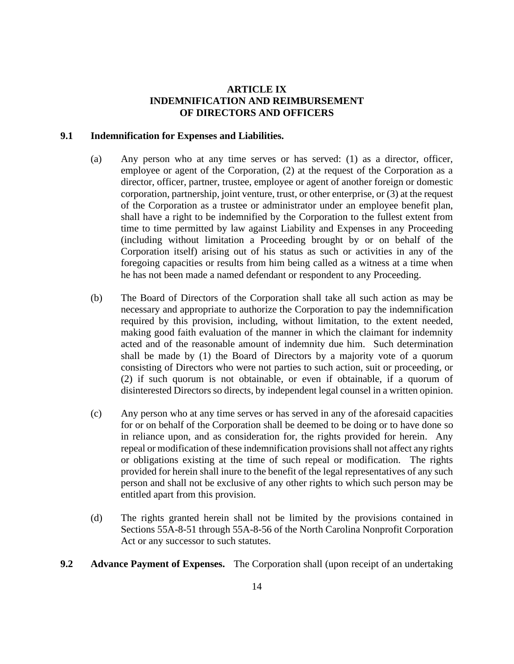### **ARTICLE IX INDEMNIFICATION AND REIMBURSEMENT OF DIRECTORS AND OFFICERS**

#### **9.1 Indemnification for Expenses and Liabilities.**

- (a) Any person who at any time serves or has served: (1) as a director, officer, employee or agent of the Corporation, (2) at the request of the Corporation as a director, officer, partner, trustee, employee or agent of another foreign or domestic corporation, partnership, joint venture, trust, or other enterprise, or (3) at the request of the Corporation as a trustee or administrator under an employee benefit plan, shall have a right to be indemnified by the Corporation to the fullest extent from time to time permitted by law against Liability and Expenses in any Proceeding (including without limitation a Proceeding brought by or on behalf of the Corporation itself) arising out of his status as such or activities in any of the foregoing capacities or results from him being called as a witness at a time when he has not been made a named defendant or respondent to any Proceeding.
- (b) The Board of Directors of the Corporation shall take all such action as may be necessary and appropriate to authorize the Corporation to pay the indemnification required by this provision, including, without limitation, to the extent needed, making good faith evaluation of the manner in which the claimant for indemnity acted and of the reasonable amount of indemnity due him. Such determination shall be made by (1) the Board of Directors by a majority vote of a quorum consisting of Directors who were not parties to such action, suit or proceeding, or (2) if such quorum is not obtainable, or even if obtainable, if a quorum of disinterested Directors so directs, by independent legal counsel in a written opinion.
- (c) Any person who at any time serves or has served in any of the aforesaid capacities for or on behalf of the Corporation shall be deemed to be doing or to have done so in reliance upon, and as consideration for, the rights provided for herein. Any repeal or modification of these indemnification provisions shall not affect any rights or obligations existing at the time of such repeal or modification. The rights provided for herein shall inure to the benefit of the legal representatives of any such person and shall not be exclusive of any other rights to which such person may be entitled apart from this provision.
- (d) The rights granted herein shall not be limited by the provisions contained in Sections 55A-8-51 through 55A-8-56 of the North Carolina Nonprofit Corporation Act or any successor to such statutes.
- **9.2** Advance Payment of Expenses. The Corporation shall (upon receipt of an undertaking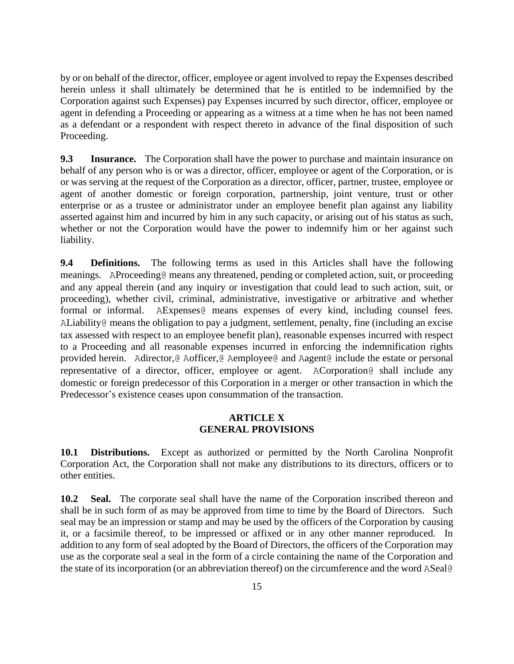by or on behalf of the director, officer, employee or agent involved to repay the Expenses described herein unless it shall ultimately be determined that he is entitled to be indemnified by the Corporation against such Expenses) pay Expenses incurred by such director, officer, employee or agent in defending a Proceeding or appearing as a witness at a time when he has not been named as a defendant or a respondent with respect thereto in advance of the final disposition of such Proceeding.

**9.3** Insurance. The Corporation shall have the power to purchase and maintain insurance on behalf of any person who is or was a director, officer, employee or agent of the Corporation, or is or was serving at the request of the Corporation as a director, officer, partner, trustee, employee or agent of another domestic or foreign corporation, partnership, joint venture, trust or other enterprise or as a trustee or administrator under an employee benefit plan against any liability asserted against him and incurred by him in any such capacity, or arising out of his status as such, whether or not the Corporation would have the power to indemnify him or her against such liability.

**9.4 Definitions.** The following terms as used in this Articles shall have the following meanings. AProceeding@ means any threatened, pending or completed action, suit, or proceeding and any appeal therein (and any inquiry or investigation that could lead to such action, suit, or proceeding), whether civil, criminal, administrative, investigative or arbitrative and whether formal or informal. AExpenses@ means expenses of every kind, including counsel fees. ALiability@ means the obligation to pay a judgment, settlement, penalty, fine (including an excise tax assessed with respect to an employee benefit plan), reasonable expenses incurred with respect to a Proceeding and all reasonable expenses incurred in enforcing the indemnification rights provided herein. Adirector,@ Aofficer,@ Aemployee@ and Aagent@ include the estate or personal representative of a director, officer, employee or agent. ACorporation@ shall include any domestic or foreign predecessor of this Corporation in a merger or other transaction in which the Predecessor's existence ceases upon consummation of the transaction.

#### **ARTICLE X GENERAL PROVISIONS**

**10.1 Distributions.** Except as authorized or permitted by the North Carolina Nonprofit Corporation Act, the Corporation shall not make any distributions to its directors, officers or to other entities.

**10.2 Seal.** The corporate seal shall have the name of the Corporation inscribed thereon and shall be in such form of as may be approved from time to time by the Board of Directors. Such seal may be an impression or stamp and may be used by the officers of the Corporation by causing it, or a facsimile thereof, to be impressed or affixed or in any other manner reproduced. In addition to any form of seal adopted by the Board of Directors, the officers of the Corporation may use as the corporate seal a seal in the form of a circle containing the name of the Corporation and the state of its incorporation (or an abbreviation thereof) on the circumference and the word ASeal@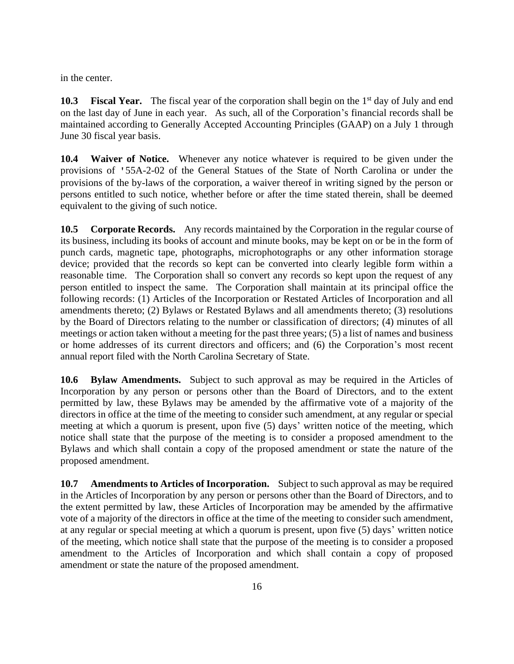in the center.

**10.3 Fiscal Year.** The fiscal year of the corporation shall begin on the 1<sup>st</sup> day of July and end on the last day of June in each year. As such, all of the Corporation's financial records shall be maintained according to Generally Accepted Accounting Principles (GAAP) on a July 1 through June 30 fiscal year basis.

**10.4 Waiver of Notice.** Whenever any notice whatever is required to be given under the provisions of '55A-2-02 of the General Statues of the State of North Carolina or under the provisions of the by-laws of the corporation, a waiver thereof in writing signed by the person or persons entitled to such notice, whether before or after the time stated therein, shall be deemed equivalent to the giving of such notice.

**10.5 Corporate Records.** Any records maintained by the Corporation in the regular course of its business, including its books of account and minute books, may be kept on or be in the form of punch cards, magnetic tape, photographs, microphotographs or any other information storage device; provided that the records so kept can be converted into clearly legible form within a reasonable time. The Corporation shall so convert any records so kept upon the request of any person entitled to inspect the same. The Corporation shall maintain at its principal office the following records: (1) Articles of the Incorporation or Restated Articles of Incorporation and all amendments thereto; (2) Bylaws or Restated Bylaws and all amendments thereto; (3) resolutions by the Board of Directors relating to the number or classification of directors; (4) minutes of all meetings or action taken without a meeting for the past three years; (5) a list of names and business or home addresses of its current directors and officers; and (6) the Corporation's most recent annual report filed with the North Carolina Secretary of State.

**10.6 Bylaw Amendments.** Subject to such approval as may be required in the Articles of Incorporation by any person or persons other than the Board of Directors, and to the extent permitted by law, these Bylaws may be amended by the affirmative vote of a majority of the directors in office at the time of the meeting to consider such amendment, at any regular or special meeting at which a quorum is present, upon five (5) days' written notice of the meeting, which notice shall state that the purpose of the meeting is to consider a proposed amendment to the Bylaws and which shall contain a copy of the proposed amendment or state the nature of the proposed amendment.

**10.7 Amendments to Articles of Incorporation.** Subject to such approval as may be required in the Articles of Incorporation by any person or persons other than the Board of Directors, and to the extent permitted by law, these Articles of Incorporation may be amended by the affirmative vote of a majority of the directors in office at the time of the meeting to consider such amendment, at any regular or special meeting at which a quorum is present, upon five (5) days' written notice of the meeting, which notice shall state that the purpose of the meeting is to consider a proposed amendment to the Articles of Incorporation and which shall contain a copy of proposed amendment or state the nature of the proposed amendment.